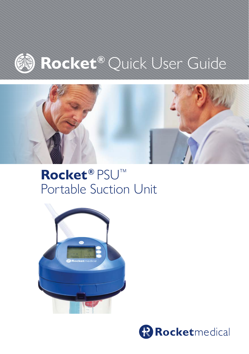

# **Rocket®** Quick User Guide



# **Rocket®** PSU™ Portable Suction Unit *For all your Rocket® PSU Portable Suction Unit*



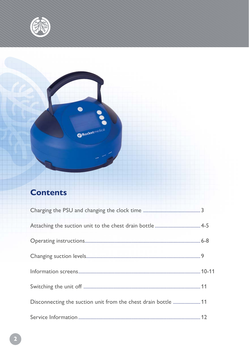

## **Contents**

 $\bullet$ 

**ORocketmedical** 

| Disconnecting the suction unit from the chest drain bottle  11 |  |
|----------------------------------------------------------------|--|
|                                                                |  |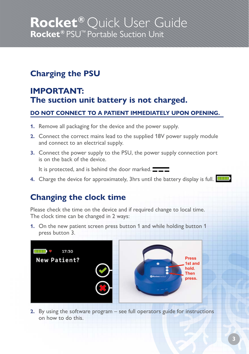## **Charging the PSU**

### **IMPORTANT: The suction unit battery is not charged.**

#### **DO NOT CONNECT TO A PATIENT IMMEDIATELY UPON OPENING.**

- **1.** Remove all packaging for the device and the power supply.
- **2.** Connect the correct mains lead to the supplied 18V power supply module and connect to an electrical supply.
- **3.** Connect the power supply to the PSU, the power supply connection port is on the back of the device.

It is protected, and is behind the door marked.

**4.** Charge the device for approximately, 3hrs until the battery display is full. **THE** 

### **Changing the clock time**

Please check the time on the device and if required change to local time. The clock time can be changed in 2 ways:

**1.** On the new patient screen press button 1 and while holding button 1 press button 3.



**2.** By using the software program – see full operators guide for instructions on how to do this.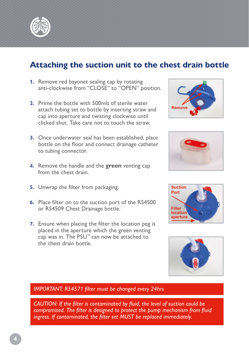

### **Attaching the suction unit to the chest drain bottle**

- **1.** Remove red bayonet sealing cap by rotating anti-clockwise from "CLOSE" to "OPEN" position.
- **2.** Prime the bottle with 500mls of sterile water attach tubing set to bottle by inserting straw and cap into aperture and twisting clockwise until clicked shut. Take care not to touch the straw.
- **3.** Once underwater seal has been established, place bottle on the floor and connect drainage catheter to tubing connector.
- **4.** Remove the handle and the **green** venting cap from the chest drain.
- **5.** Unwrap the filter from packaging.
- **6.** Place filter on to the suction port of the R54500 or R54509 Chest Drainage bottle.
- **7.** Ensure when placing the filter the location peg is placed in the aperture which the green venting cap was in. The PSU™ can now be attached to the chest drain bottle.









#### *IMPORTANT: R54571 filter must be changed every 24hrs*

*CAUTION: If the filter is contaminated by fluid, the level of suction could be compromised. The filter is designed to protect the pump mechanism from fluid ingress. If contaminated, the filter set MUST be replaced immediately.*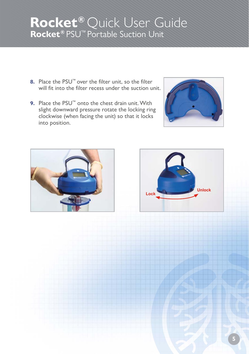- **8.** Place the PSU™ over the filter unit, so the filter will fit into the filter recess under the suction unit.
- **9.** Place the PSU™ onto the chest drain unit. With slight downward pressure rotate the locking ring clockwise (when facing the unit) so that it locks into position.





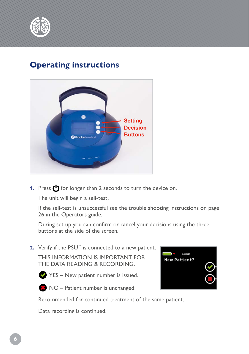

#### **Operating instructions**



**1.** Press (<sup>I</sup>) for longer than 2 seconds to turn the device on.

The unit will begin a self-test.

If the self-test is unsuccessful see the trouble shooting instructions on page 26 in the Operators guide.

During set up you can confirm or cancel your decisions using the three buttons at the side of the screen.

**2.** Verify if the PSU™ is connected to a new patient.

THIS INFORMATION IS IMPORTANT FOR THE DATA READING & RECORDING.



 $YES - New patient number is issued.$ 



NO – Patient number is unchanged:



Recommended for continued treatment of the same patient.

Data recording is continued.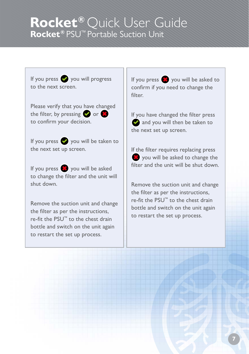If you press  $\bullet$  you will progress to the next screen.

Please verify that you have changed the filter, by pressing  $\bullet$  or  $\bullet$ to confirm your decision.

If you press  $\bullet$  you will be taken to the next set up screen.

If you press  $\mathbf{X}$  you will be asked to change the filter and the unit will shut down.

Remove the suction unit and change the filter as per the instructions, re-fit the PSU™ to the chest drain bottle and switch on the unit again to restart the set up process.

If you press  $\frac{1}{2}$  you will be asked to confirm if you need to change the filter.

If you have changed the filter press and you will then be taken to the next set up screen.

If the filter requires replacing press **3** you will be asked to change the filter and the unit will be shut down.

Remove the suction unit and change the filter as per the instructions, re-fit the PSU™ to the chest drain bottle and switch on the unit again to restart the set up process.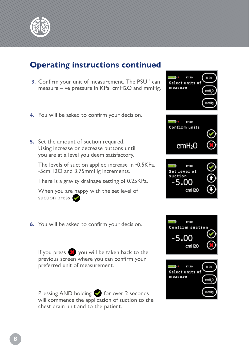

### **Operating instructions continued**

- **3.** Confirm your unit of measurement. The PSU™ can measure – ve pressure in KPa, cmH2O and mmHg.
- **4.** You will be asked to confirm your decision.
- **5.** Set the amount of suction required. Using increase or decrease buttons until you are at a level you deem satisfactory.

The levels of suction applied increase in -0.5KPa, -5cmH2O and 3.75mmHg increments.

There is a gravity drainage setting of 0.25KPa.

When you are happy with the set level of suction press  $\bullet$ .

**6.** You will be asked to confirm your decision.

If you press  $\frac{1}{2}$  you will be taken back to the previous screen where you can confirm your preferred unit of measurement.

Pressing AND holding  $\bullet$  for over 2 seconds will commence the application of suction to the chest drain unit and to the patient.



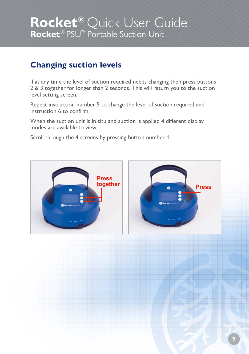### **Changing suction levels**

If at any time the level of suction required needs changing then press buttons 2 & 3 together for longer than 2 seconds. This will return you to the suction level setting screen.

Repeat instruction number 5 to change the level of suction required and instruction 6 to confirm.

When the suction unit is in situ and suction is applied 4 different display modes are available to view.

Scroll through the 4 screens by pressing button number 1.

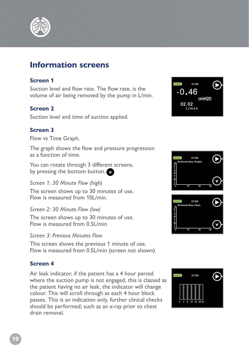

#### **Information screens**

#### **Screen 1**

Suction level and flow rate. The flow rate, is the volume of air being removed by the pump in L/min.

#### **Screen 2**

Suction level and time of suction applied.

#### **Screen 3**

Flow vs Time Graph.

The graph shows the flow and pressure progression as a function of time.

You can rotate through 3 different screens, by pressing the bottom button.

*Screen 1: 30 Minute Flow (high)* The screen shows up to 30 minutes of use. Flow is measured from 10L/min.

*Screen 2: 30 Minute Flow (low)*

The screen shows up to 30 minutes of use. Flow is measured from 0.5L/min

*Screen 3: Previous Minutes Flow*

This screen shows the previous 1 minute of use. Flow is measured from 0.5L/min (screen not shown)

#### **Screen 4**

Air leak indicator, if the patient has a 4 hour period where the suction pump is not engaged, this is classed as the patient having no air leak, the indicator will change colour. This will scroll through as each 4 hour block passes. This is an indication only, further clinical checks should be performed; such as an x-ray prior to chest drain removal.





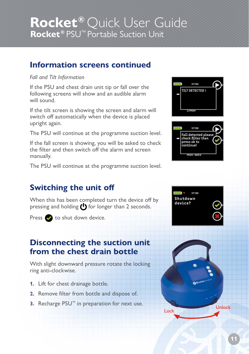#### **Information screens continued**

#### *Fall and Tilt Information*

If the PSU and chest drain unit tip or fall over the following screens will show and an audible alarm will sound.

If the tilt screen is showing the screen and alarm will switch off automatically when the device is placed upright again.

The PSU will continue at the programme suction level.

If the fall screen is showing, you will be asked to check the filter and then switch off the alarm and screen manually.

The PSU will continue at the programme suction level.

## $17:30$ **TILT DETECTED!** l/min 17:30 Fall detected please<br>check filter then press ok to continuel

### **Switching the unit off**

When this has been completed turn the device off by pressing and holding  $\bigcup$  for longer than 2 seconds.

Press to shut down device.

### **Disconnecting the suction unit from the chest drain bottle**

With slight downward pressure rotate the locking ring anti-clockwise.

- **1.** Lift for chest drainage bottle.
- **2.** Remove filter from bottle and dispose of.
- **3.** Recharge PSU™ in preparation for next use.